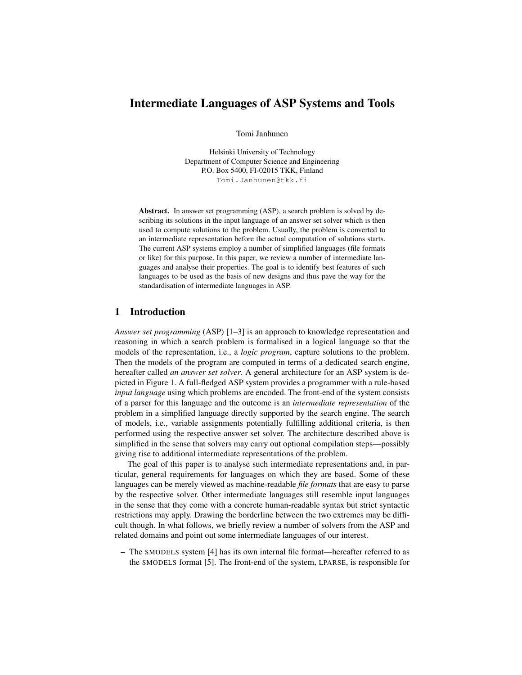# Intermediate Languages of ASP Systems and Tools

Tomi Janhunen

Helsinki University of Technology Department of Computer Science and Engineering P.O. Box 5400, FI-02015 TKK, Finland Tomi.Janhunen@tkk.fi

Abstract. In answer set programming (ASP), a search problem is solved by describing its solutions in the input language of an answer set solver which is then used to compute solutions to the problem. Usually, the problem is converted to an intermediate representation before the actual computation of solutions starts. The current ASP systems employ a number of simplified languages (file formats or like) for this purpose. In this paper, we review a number of intermediate languages and analyse their properties. The goal is to identify best features of such languages to be used as the basis of new designs and thus pave the way for the standardisation of intermediate languages in ASP.

## 1 Introduction

*Answer set programming* (ASP) [1–3] is an approach to knowledge representation and reasoning in which a search problem is formalised in a logical language so that the models of the representation, i.e., a *logic program*, capture solutions to the problem. Then the models of the program are computed in terms of a dedicated search engine, hereafter called *an answer set solver*. A general architecture for an ASP system is depicted in Figure 1. A full-fledged ASP system provides a programmer with a rule-based *input language* using which problems are encoded. The front-end of the system consists of a parser for this language and the outcome is an *intermediate representation* of the problem in a simplified language directly supported by the search engine. The search of models, i.e., variable assignments potentially fulfilling additional criteria, is then performed using the respective answer set solver. The architecture described above is simplified in the sense that solvers may carry out optional compilation steps—possibly giving rise to additional intermediate representations of the problem.

The goal of this paper is to analyse such intermediate representations and, in particular, general requirements for languages on which they are based. Some of these languages can be merely viewed as machine-readable *file formats* that are easy to parse by the respective solver. Other intermediate languages still resemble input languages in the sense that they come with a concrete human-readable syntax but strict syntactic restrictions may apply. Drawing the borderline between the two extremes may be difficult though. In what follows, we briefly review a number of solvers from the ASP and related domains and point out some intermediate languages of our interest.

– The SMODELS system [4] has its own internal file format—hereafter referred to as the SMODELS format [5]. The front-end of the system, LPARSE, is responsible for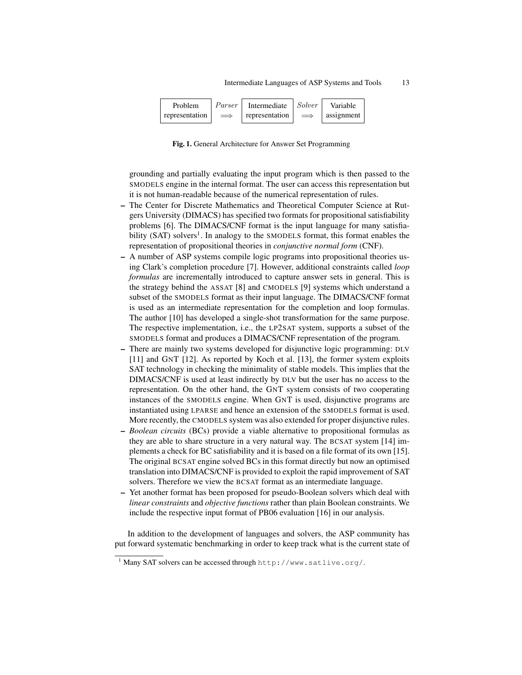

Fig. 1. General Architecture for Answer Set Programming

grounding and partially evaluating the input program which is then passed to the SMODELS engine in the internal format. The user can access this representation but it is not human-readable because of the numerical representation of rules.

- The Center for Discrete Mathematics and Theoretical Computer Science at Rutgers University (DIMACS) has specified two formats for propositional satisfiability problems [6]. The DIMACS/CNF format is the input language for many satisfiability (SAT) solvers<sup>1</sup>. In analogy to the SMODELS format, this format enables the representation of propositional theories in *conjunctive normal form* (CNF).
- A number of ASP systems compile logic programs into propositional theories using Clark's completion procedure [7]. However, additional constraints called *loop formulas* are incrementally introduced to capture answer sets in general. This is the strategy behind the ASSAT [8] and CMODELS [9] systems which understand a subset of the SMODELS format as their input language. The DIMACS/CNF format is used as an intermediate representation for the completion and loop formulas. The author [10] has developed a single-shot transformation for the same purpose. The respective implementation, i.e., the LP2SAT system, supports a subset of the SMODELS format and produces a DIMACS/CNF representation of the program.
- There are mainly two systems developed for disjunctive logic programming: DLV [11] and GNT [12]. As reported by Koch et al. [13], the former system exploits SAT technology in checking the minimality of stable models. This implies that the DIMACS/CNF is used at least indirectly by DLV but the user has no access to the representation. On the other hand, the GNT system consists of two cooperating instances of the SMODELS engine. When GNT is used, disjunctive programs are instantiated using LPARSE and hence an extension of the SMODELS format is used. More recently, the CMODELS system was also extended for proper disjunctive rules.
- *Boolean circuits* (BCs) provide a viable alternative to propositional formulas as they are able to share structure in a very natural way. The BCSAT system [14] implements a check for BC satisfiability and it is based on a file format of its own [15]. The original BCSAT engine solved BCs in this format directly but now an optimised translation into DIMACS/CNF is provided to exploit the rapid improvement of SAT solvers. Therefore we view the BCSAT format as an intermediate language.
- Yet another format has been proposed for pseudo-Boolean solvers which deal with *linear constraints* and *objective functions* rather than plain Boolean constraints. We include the respective input format of PB06 evaluation [16] in our analysis.

In addition to the development of languages and solvers, the ASP community has put forward systematic benchmarking in order to keep track what is the current state of

<sup>1</sup> Many SAT solvers can be accessed through http://www.satlive.org/.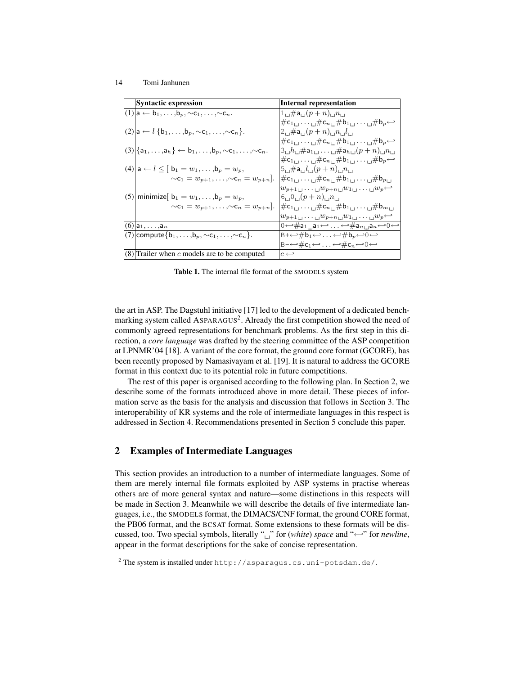|  | <b>Syntactic expression</b>                                                                                           | <b>Internal representation</b>                                                                                                                     |
|--|-----------------------------------------------------------------------------------------------------------------------|----------------------------------------------------------------------------------------------------------------------------------------------------|
|  | $(1) a \leftarrow b_1, \ldots, b_p, \sim c_1, \ldots, \sim c_n.$                                                      | $1_{\square}\#a_{\square}(p+n)_{\square}n_{\square}$                                                                                               |
|  |                                                                                                                       | $\#c_{1\Box}\dots\Box\#c_{n\Box}\#b_{1\Box}\dots\Box\#b_{p}\hookleftarrow$                                                                         |
|  | $(2) \mathsf{a} \leftarrow l \{ \mathsf{b}_1, \ldots, \mathsf{b}_p, \sim \mathsf{c}_1, \ldots, \sim \mathsf{c}_n \}.$ | $2\Box$ #a $\Box(p+n)\Box n\Box l\Box$                                                                                                             |
|  |                                                                                                                       | $\#c_1 \Box \cdots \Box \#c_n \Box \#b_1 \Box \cdots \Box \#b_p \hookleftarrow$                                                                    |
|  | $(3)$ {a <sub>1</sub> ,,a <sub>h</sub> } $\leftarrow b_1, \ldots, b_p, \sim c_1, \ldots, \sim c_n$ .                  | 3 $h_{\square}h_{\square}$ #a $h_{\square}\cdots$ $h_{\square}$ #a $h_{\square}(p+n)_{\square}n_{\square}$                                         |
|  |                                                                                                                       | $\#c_1 \ldots \Box \#c_n \Box \#b_1 \ldots \Box \#b_p \hookleftarrow$                                                                              |
|  | (4) a ← $l \leq$   b <sub>1</sub> = $w_1, \ldots, b_p = w_p$ ,                                                        | 5 $\Box$ #a $l_{\Box}l_{\Box}(p+n)_{\Box}n_{\Box}$                                                                                                 |
|  | $\sim c_1 = w_{p+1}, \ldots, \sim c_n = w_{p+n}$ .                                                                    | $\#c_1 \ldots \ldots \#c_n \ldots \#b_1 \ldots \ldots \#b_{p_{i-1}}$                                                                               |
|  |                                                                                                                       | $w_{p+1}\ldots w_{p+n}\ldots w_1\ldots w_p \leftrightarrow$                                                                                        |
|  | (5) minimize $\mathsf{b}_1 = w_1, \ldots, \mathsf{b}_p = w_p,$                                                        | $6_{1,1}0_{1,1}(p+n)_{1,1}n_{1,1}$                                                                                                                 |
|  | $\sim c_1 = w_{p+1}, \ldots, \sim c_n = w_{p+n}$ .                                                                    | $\#\mathsf{c}_{1\sqcup}\ldots\sqcup\#\mathsf{c}_{n\sqcup}\#\mathsf{b}_{1\sqcup}\ldots\sqcup\#\mathsf{b}_{m\sqcup}$                                 |
|  |                                                                                                                       | $w_{p+1\Box}\cdots \Box w_{p+n\Box}w_{1\Box}\cdots \Box w_{p} \leftrightarrow$                                                                     |
|  | $(6) a_1,\ldots,a_n $                                                                                                 | $0 \leftrightarrow \#a_{1}$ <sub>1</sub> $a_1 \leftrightarrow \ldots \leftrightarrow \#a_{n}$ <sub>1</sub> $a_n \leftrightarrow 0 \leftrightarrow$ |
|  | $ (7) $ compute $\{b_1,\ldots,b_p,\sim c_1,\ldots,\sim c_n\}$ .                                                       | $B + \leftrightarrow \#b_1 \leftrightarrow \ldots \leftrightarrow \#b_p \leftrightarrow 0 \leftrightarrow$                                         |
|  |                                                                                                                       | $B - \leftrightarrow \#c_1 \leftrightarrow \ldots \leftrightarrow \#c_n \leftrightarrow 0 \leftrightarrow$                                         |
|  | $(8)$ Trailer when c models are to be computed                                                                        | $c \leftarrow$                                                                                                                                     |

Table 1. The internal file format of the SMODELS system

the art in ASP. The Dagstuhl initiative [17] led to the development of a dedicated benchmarking system called ASPARAGUS<sup>2</sup>. Already the first competition showed the need of commonly agreed representations for benchmark problems. As the first step in this direction, a *core language* was drafted by the steering committee of the ASP competition at LPNMR'04 [18]. A variant of the core format, the ground core format (GCORE), has been recently proposed by Namasivayam et al. [19]. It is natural to address the GCORE format in this context due to its potential role in future competitions.

The rest of this paper is organised according to the following plan. In Section 2, we describe some of the formats introduced above in more detail. These pieces of information serve as the basis for the analysis and discussion that follows in Section 3. The interoperability of KR systems and the role of intermediate languages in this respect is addressed in Section 4. Recommendations presented in Section 5 conclude this paper.

# 2 Examples of Intermediate Languages

This section provides an introduction to a number of intermediate languages. Some of them are merely internal file formats exploited by ASP systems in practise whereas others are of more general syntax and nature—some distinctions in this respects will be made in Section 3. Meanwhile we will describe the details of five intermediate languages, i.e., the SMODELS format, the DIMACS/CNF format, the ground CORE format, the PB06 format, and the BCSAT format. Some extensions to these formats will be discussed, too. Two special symbols, literally "<sub>□</sub>" for (*white*) *space* and "←" for *newline*, appear in the format descriptions for the sake of concise representation.

<sup>2</sup> The system is installed under http://asparagus.cs.uni-potsdam.de/.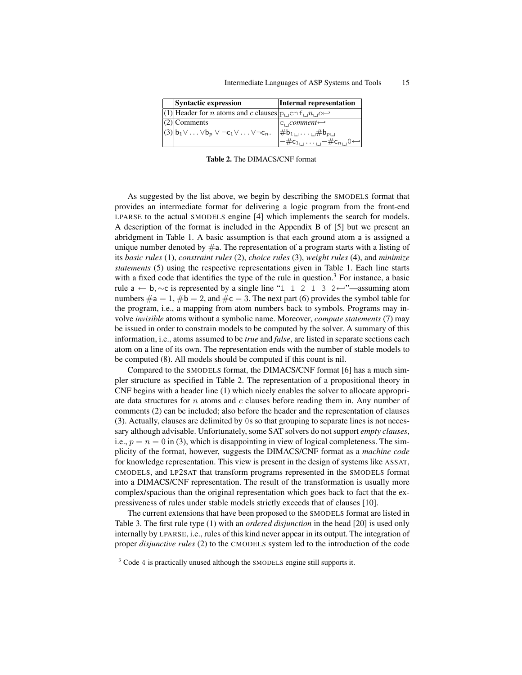| <b>Syntactic expression</b>                                                                   | Internal representation                              |
|-----------------------------------------------------------------------------------------------|------------------------------------------------------|
| (1) Header for <i>n</i> atoms and <i>c</i> clauses $ p_1 $ cn $f_1$ $n_1$ $c \leftrightarrow$ |                                                      |
| $(2)$ Comments                                                                                | $c_1$ comment $\leftrightarrow$                      |
| $ (3) b_1 \vee \ldots \vee b_p \vee \neg c_1 \vee \ldots \vee \neg c_n.$                      | $\#b_1 \dots \Box \#b_p \Box$                        |
|                                                                                               | $-\#c_{1\Box}\cdots\Box-\#c_{n\Box}0\leftrightarrow$ |

Table 2. The DIMACS/CNF format

As suggested by the list above, we begin by describing the SMODELS format that provides an intermediate format for delivering a logic program from the front-end LPARSE to the actual SMODELS engine [4] which implements the search for models. A description of the format is included in the Appendix B of [5] but we present an abridgment in Table 1. A basic assumption is that each ground atom a is assigned a unique number denoted by  $\#a$ . The representation of a program starts with a listing of its *basic rules* (1), *constraint rules* (2), *choice rules* (3), *weight rules* (4), and *minimize statements* (5) using the respective representations given in Table 1. Each line starts with a fixed code that identifies the type of the rule in question.<sup>3</sup> For instance, a basic rule a ← b,  $\sim$ c is represented by a single line "1 1 2 1 3 2←"—assuming atom numbers  $\#a = 1$ ,  $\#b = 2$ , and  $\#c = 3$ . The next part (6) provides the symbol table for the program, i.e., a mapping from atom numbers back to symbols. Programs may involve *invisible* atoms without a symbolic name. Moreover, *compute statements* (7) may be issued in order to constrain models to be computed by the solver. A summary of this information, i.e., atoms assumed to be *true* and *false*, are listed in separate sections each atom on a line of its own. The representation ends with the number of stable models to be computed (8). All models should be computed if this count is nil.

Compared to the SMODELS format, the DIMACS/CNF format [6] has a much simpler structure as specified in Table 2. The representation of a propositional theory in CNF begins with a header line (1) which nicely enables the solver to allocate appropriate data structures for n atoms and c clauses before reading them in. Any number of comments (2) can be included; also before the header and the representation of clauses (3). Actually, clauses are delimited by 0s so that grouping to separate lines is not necessary although advisable. Unfortunately, some SAT solvers do not support *empty clauses*, i.e.,  $p = n = 0$  in (3), which is disappointing in view of logical completeness. The simplicity of the format, however, suggests the DIMACS/CNF format as a *machine code* for knowledge representation. This view is present in the design of systems like ASSAT, CMODELS, and LP2SAT that transform programs represented in the SMODELS format into a DIMACS/CNF representation. The result of the transformation is usually more complex/spacious than the original representation which goes back to fact that the expressiveness of rules under stable models strictly exceeds that of clauses [10].

The current extensions that have been proposed to the SMODELS format are listed in Table 3. The first rule type (1) with an *ordered disjunction* in the head [20] is used only internally by LPARSE, i.e., rules of this kind never appear in its output. The integration of proper *disjunctive rules* (2) to the CMODELS system led to the introduction of the code

<sup>&</sup>lt;sup>3</sup> Code 4 is practically unused although the SMODELS engine still supports it.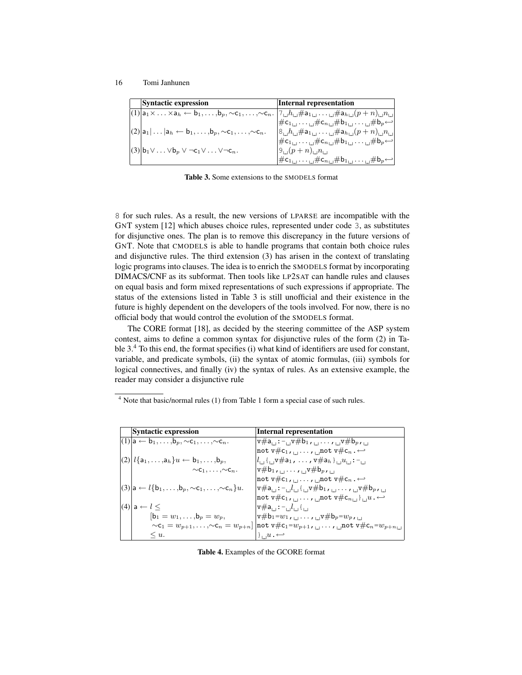16 Tomi Janhunen

|  | <b>Syntactic expression</b>                                                                                                                                              | Internal representation                                                                                                                                                                                                                  |
|--|--------------------------------------------------------------------------------------------------------------------------------------------------------------------------|------------------------------------------------------------------------------------------------------------------------------------------------------------------------------------------------------------------------------------------|
|  | $ (1) a_1 \times \ldots \times a_h \leftarrow b_1, \ldots, b_p, \sim c_1, \ldots, \sim c_n$ . $ 7 \Box h_{\Box} \# a_1 \Box \ldots \Box \# a_h \Box (p+n) \Box n_{\Box}$ |                                                                                                                                                                                                                                          |
|  |                                                                                                                                                                          | $ \# \mathsf{c}_1\hspace{-1.5pt} \_\cup \hspace{-1.5pt} \dots \hspace{-1.5pt} \_\# \mathsf{c}_n\hspace{-1.5pt} \_\bot \# \mathsf{b}_1\hspace{-1.5pt} \_\cup \ldots \hspace{-1.5pt} \_\# \mathsf{b}_p \hspace{-1.5pt} \rightleftharpoons$ |
|  | $ (2) a_1  \dots   a_h \leftarrow b_1, \dots, b_p, \sim c_1, \dots, \sim c_n.$                                                                                           | $ 8_{\square}h_{\square}\#a_{1\square}\dots\_\_$ a $h_{\square}(p+n)_{\square}n_{\square}$                                                                                                                                               |
|  |                                                                                                                                                                          | $\ket{\# \mathsf{c}_1\hspace{-1pt} \downarrow \cdots \hspace{-1pt}\sqcup \# \mathsf{c}_{n\hspace{-1pt}\sqcup} \# \mathsf{b}_1\hspace{-1pt}\sqcup \cdots \hspace{-1pt}\sqcup \# \mathsf{b}_p \hspace{-1pt}\leftrightarrow}$               |
|  | $ (3) b_1 \vee \ldots \vee b_p \vee \neg c_1 \vee \ldots \vee \neg c_n.$                                                                                                 | $9_{1} (p+n)_{1} n_{1}$                                                                                                                                                                                                                  |
|  |                                                                                                                                                                          | $ \#c_1 \ldots \Box \#c_n \Box \#b_1 \ldots \Box \#b_p \hookleftarrow$                                                                                                                                                                   |

Table 3. Some extensions to the SMODELS format

8 for such rules. As a result, the new versions of LPARSE are incompatible with the GNT system [12] which abuses choice rules, represented under code 3, as substitutes for disjunctive ones. The plan is to remove this discrepancy in the future versions of GNT. Note that CMODELS is able to handle programs that contain both choice rules and disjunctive rules. The third extension (3) has arisen in the context of translating logic programs into clauses. The idea is to enrich the SMODELS format by incorporating DIMACS/CNF as its subformat. Then tools like LP2SAT can handle rules and clauses on equal basis and form mixed representations of such expressions if appropriate. The status of the extensions listed in Table 3 is still unofficial and their existence in the future is highly dependent on the developers of the tools involved. For now, there is no official body that would control the evolution of the SMODELS format.

The CORE format [18], as decided by the steering committee of the ASP system contest, aims to define a common syntax for disjunctive rules of the form (2) in Table  $3<sup>4</sup>$  To this end, the format specifies (i) what kind of identifiers are used for constant, variable, and predicate symbols, (ii) the syntax of atomic formulas, (iii) symbols for logical connectives, and finally (iv) the syntax of rules. As an extensive example, the reader may consider a disjunctive rule

<sup>4</sup> Note that basic/normal rules (1) from Table 1 form a special case of such rules.

| Syntactic expression                                                 | Internal representation                                                                                                                                              |
|----------------------------------------------------------------------|----------------------------------------------------------------------------------------------------------------------------------------------------------------------|
| $ (1) $ a $\leftarrow b_1, \ldots, b_p, \sim c_1, \ldots, \sim c_n.$ | $v\#a_{\Box}$ : $\neg_{\Box}v\#b_1$ , $\Box \cdots$ , $\Box v\#b_p$ , $\Box$                                                                                         |
|                                                                      | not $\texttt{v#c}_1$ , $\ldots$ , not $\texttt{v#c}_n$ . $\leftrightarrow$                                                                                           |
| $ (2)  l{a_1, , a_h} u \leftarrow b_1, , b_p,$                       | $ l_{++} $ , $v \# a_1, \ldots, v \# a_{h} $ , $ u_{++} $ ; $-$                                                                                                      |
| $\sim c_1, \ldots, \sim c_n$ .                                       | $v \# b_1, \ldots, v \# b_p, \ldots$                                                                                                                                 |
|                                                                      | not $\mathsf{v}\# \mathsf{c}_1$ , $\dots$ , not $\mathsf{v}\# \mathsf{c}_n$ . $\hookleftarrow$                                                                       |
| $ (3) a \leftarrow l\{b_1,\ldots,b_p,\sim c_1,\ldots,\sim c_n\}u.$   | $ {\tt v}{\#}{\sf a}_{\sqcup}\!:\text{-}{\sqcup} l_{\sqcup}\text{\{ }\sqcup} {\tt v}{\#}{\sf b}_1$ , $\sqcup\cdots$ , $\sqcup {\tt v}{\#}{\sf b}_p$ , $\sqcup$       |
|                                                                      | not $\mathsf{v}\#c_1$ , $\ldots$ , $\ldots$ not $\mathsf{v}\#c_{n}$ , $\ldots$                                                                                       |
| $(4)$ a $\leftarrow$ l $\leq$                                        | $v \# a_{i+1} : -_{i+1} l_{i+1}$                                                                                                                                     |
| $[b_1 = w_1, \ldots, b_p = w_p,$                                     | $ v\#b_1=w_1$ , $\ldots$ , $\lrcorner v\#b_p=w_p$ , $\lrcorner$                                                                                                      |
|                                                                      | $\mathcal{L}_{\mathsf{C}_1} = w_{p+1}, \ldots, \mathcal{L}_{n} = w_{p+n}$ ]  not v#c <sub>1</sub> = $w_{p+1}$ , $\ldots$ , $\ldots$ not v#c <sub>n</sub> = $w_{p+n}$ |
| $\leq u.$                                                            | $\cdot \cdot u \cdot \hookleftarrow$                                                                                                                                 |

Table 4. Examples of the GCORE format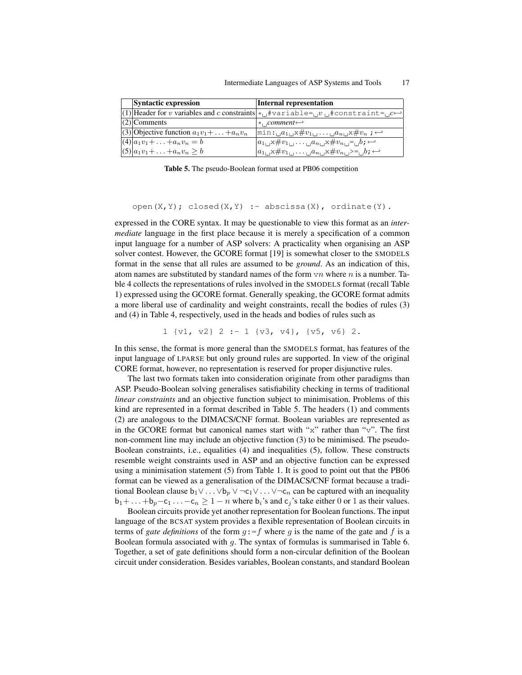| Internal representation<br><b>Syntactic expression</b> |                                                                                                                                            |
|--------------------------------------------------------|--------------------------------------------------------------------------------------------------------------------------------------------|
|                                                        | (1) Header for v variables and c constraints $\star_{\Box}$ + variable= $\sigma_{\Box}v_{\Box}$ + constraint= $\sigma_{\Box}c \rightarrow$ |
| $(2)$ Comments                                         | $\star$ comment $\leftrightarrow$                                                                                                          |
| (3) Objective function $a_1v_1 + \ldots + a_nv_n$      | $\left  \min: \mathbb{Z}^{a_1} \cup X \# v_1 \cup \cdots \cup a_n \cup X \# v_n \right  \rightarrow$                                       |
| $ (4) a_1v_1+\ldots+a_nv_n=b$                          | $ a_{1\perp}x\#v_{1\perp}\ldots\perp a_{n\perp}x\#v_{n\perp}=$                                                                             |
| $ (5) a_1v_1+\ldots+a_nv_n\geq b$                      | $ a_{1\sqcup}\times\#v_{1\sqcup}\ldots\sqcup a_{n\sqcup}\times\#v_{n\sqcup}\rangle_{a\sqsubset b};\leftrightarrow$                         |

Table 5. The pseudo-Boolean format used at PB06 competition

#### open $(X, Y)$ ; closed $(X, Y)$  : - abscissa $(X)$ , ordinate $(Y)$ .

expressed in the CORE syntax. It may be questionable to view this format as an *intermediate* language in the first place because it is merely a specification of a common input language for a number of ASP solvers: A practicality when organising an ASP solver contest. However, the GCORE format [19] is somewhat closer to the SMODELS format in the sense that all rules are assumed to be *ground*. As an indication of this, atom names are substituted by standard names of the form  $\forall n$  where n is a number. Table 4 collects the representations of rules involved in the SMODELS format (recall Table 1) expressed using the GCORE format. Generally speaking, the GCORE format admits a more liberal use of cardinality and weight constraints, recall the bodies of rules (3) and (4) in Table 4, respectively, used in the heads and bodies of rules such as

 $1 \{v1, v2\}$  2 : - 1  $\{v3, v4\}$ ,  $\{v5, v6\}$  2.

In this sense, the format is more general than the SMODELS format, has features of the input language of LPARSE but only ground rules are supported. In view of the original CORE format, however, no representation is reserved for proper disjunctive rules.

The last two formats taken into consideration originate from other paradigms than ASP. Pseudo-Boolean solving generalises satisfiability checking in terms of traditional *linear constraints* and an objective function subject to minimisation. Problems of this kind are represented in a format described in Table 5. The headers (1) and comments (2) are analogous to the DIMACS/CNF format. Boolean variables are represented as in the GCORE format but canonical names start with " $x$ " rather than " $v$ ". The first non-comment line may include an objective function (3) to be minimised. The pseudo-Boolean constraints, i.e., equalities (4) and inequalities (5), follow. These constructs resemble weight constraints used in ASP and an objective function can be expressed using a minimisation statement (5) from Table 1. It is good to point out that the PB06 format can be viewed as a generalisation of the DIMACS/CNF format because a traditional Boolean clause  $b_1 \vee ... \vee b_p \vee \neg c_1 \vee ... \vee \neg c_n$  can be captured with an inequality  $b_1 + ... + b_p - c_1 ... - c_n \ge 1 - n$  where  $b_i$ 's and  $c_j$ 's take either 0 or 1 as their values.

Boolean circuits provide yet another representation for Boolean functions. The input language of the BCSAT system provides a flexible representation of Boolean circuits in terms of *gate definitions* of the form  $g := f$  where g is the name of the gate and f is a Boolean formula associated with g. The syntax of formulas is summarised in Table 6. Together, a set of gate definitions should form a non-circular definition of the Boolean circuit under consideration. Besides variables, Boolean constants, and standard Boolean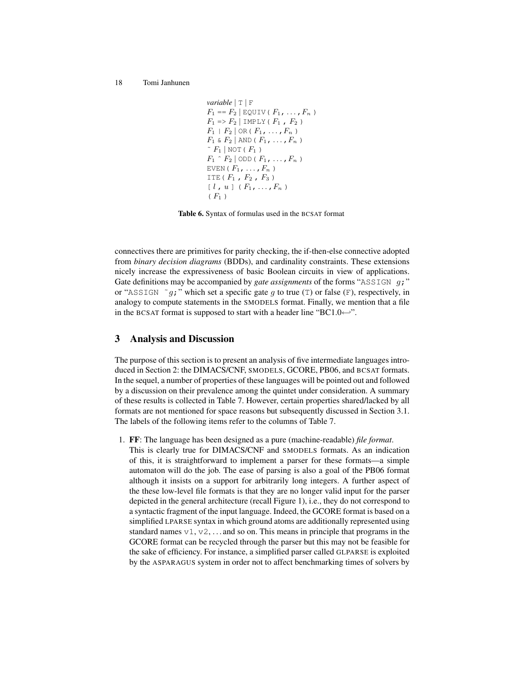```
variable | T | F
F_1 = F_2 | EQUIV(F_1, \ldots, F_n)F_1 \Rightarrow F_2 | IMPLY (F_1, F_2)
F_1 | F_2 | OR(F_1, ..., F_n)
F_1 \& F_2 \mid \text{AND}( F_1, \ldots, F_n )\tilde{F}_1 | NOT(F_1)
F_1 \hat{F}_2 | ODD (F_1, \ldots, F_n)
EVEN (F_1, \ldots, F_n)
ITE (F_1, F_2, F_3)
[ l , u ] ( F_1, \ldots, F_n )(F_1)
```
Table 6. Syntax of formulas used in the BCSAT format

connectives there are primitives for parity checking, the if-then-else connective adopted from *binary decision diagrams* (BDDs), and cardinality constraints. These extensions nicely increase the expressiveness of basic Boolean circuits in view of applications. Gate definitions may be accompanied by *gate assignments* of the forms "ASSIGN  $q_i$ " or "ASSIGN  $\tilde{q}$ ;" which set a specific gate q to true (T) or false (F), respectively, in analogy to compute statements in the SMODELS format. Finally, we mention that a file in the BCSAT format is supposed to start with a header line "BC1.0 $\leftrightarrow$ ".

# 3 Analysis and Discussion

The purpose of this section is to present an analysis of five intermediate languages introduced in Section 2: the DIMACS/CNF, SMODELS, GCORE, PB06, and BCSAT formats. In the sequel, a number of properties of these languages will be pointed out and followed by a discussion on their prevalence among the quintet under consideration. A summary of these results is collected in Table 7. However, certain properties shared/lacked by all formats are not mentioned for space reasons but subsequently discussed in Section 3.1. The labels of the following items refer to the columns of Table 7.

1. FF: The language has been designed as a pure (machine-readable) *file format*. This is clearly true for DIMACS/CNF and SMODELS formats. As an indication of this, it is straightforward to implement a parser for these formats—a simple automaton will do the job. The ease of parsing is also a goal of the PB06 format although it insists on a support for arbitrarily long integers. A further aspect of the these low-level file formats is that they are no longer valid input for the parser depicted in the general architecture (recall Figure 1), i.e., they do not correspond to a syntactic fragment of the input language. Indeed, the GCORE format is based on a simplified LPARSE syntax in which ground atoms are additionally represented using standard names  $v1, v2, \ldots$  and so on. This means in principle that programs in the GCORE format can be recycled through the parser but this may not be feasible for the sake of efficiency. For instance, a simplified parser called GLPARSE is exploited by the ASPARAGUS system in order not to affect benchmarking times of solvers by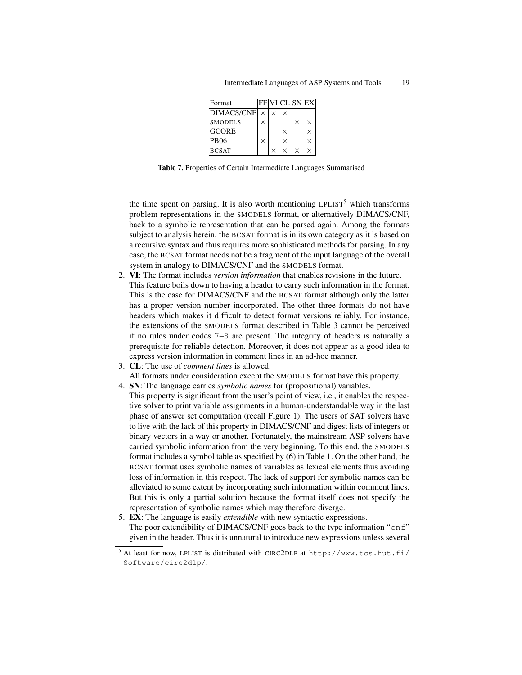| Format            |          |          | VICLISNEX |          |          |
|-------------------|----------|----------|-----------|----------|----------|
| <b>DIMACS/CNF</b> | $\times$ | $\times$ | $\times$  |          |          |
| <b>SMODELS</b>    | X        |          |           | X        | $\times$ |
| <b>GCORE</b>      |          |          | $\times$  |          | ×        |
| <b>PB06</b>       | $\times$ |          | $\times$  |          | $\times$ |
| <b>BCSAT</b>      |          | $\times$ | $\times$  | $\times$ | $\times$ |

Table 7. Properties of Certain Intermediate Languages Summarised

the time spent on parsing. It is also worth mentioning  $LPLIST<sup>5</sup>$  which transforms problem representations in the SMODELS format, or alternatively DIMACS/CNF, back to a symbolic representation that can be parsed again. Among the formats subject to analysis herein, the BCSAT format is in its own category as it is based on a recursive syntax and thus requires more sophisticated methods for parsing. In any case, the BCSAT format needs not be a fragment of the input language of the overall system in analogy to DIMACS/CNF and the SMODELS format.

- 2. VI: The format includes *version information* that enables revisions in the future. This feature boils down to having a header to carry such information in the format. This is the case for DIMACS/CNF and the BCSAT format although only the latter has a proper version number incorporated. The other three formats do not have headers which makes it difficult to detect format versions reliably. For instance, the extensions of the SMODELS format described in Table 3 cannot be perceived if no rules under codes 7–8 are present. The integrity of headers is naturally a prerequisite for reliable detection. Moreover, it does not appear as a good idea to express version information in comment lines in an ad-hoc manner.
- 3. CL: The use of *comment lines* is allowed.
- All formats under consideration except the SMODELS format have this property.
- 4. SN: The language carries *symbolic names* for (propositional) variables. This property is significant from the user's point of view, i.e., it enables the respective solver to print variable assignments in a human-understandable way in the last phase of answer set computation (recall Figure 1). The users of SAT solvers have to live with the lack of this property in DIMACS/CNF and digest lists of integers or binary vectors in a way or another. Fortunately, the mainstream ASP solvers have carried symbolic information from the very beginning. To this end, the SMODELS format includes a symbol table as specified by (6) in Table 1. On the other hand, the BCSAT format uses symbolic names of variables as lexical elements thus avoiding loss of information in this respect. The lack of support for symbolic names can be alleviated to some extent by incorporating such information within comment lines. But this is only a partial solution because the format itself does not specify the representation of symbolic names which may therefore diverge.
- 5. EX: The language is easily *extendible* with new syntactic expressions. The poor extendibility of DIMACS/CNF goes back to the type information "cnf" given in the header. Thus it is unnatural to introduce new expressions unless several

<sup>5</sup> At least for now, LPLIST is distributed with CIRC2DLP at http://www.tcs.hut.fi/ Software/circ2dlp/.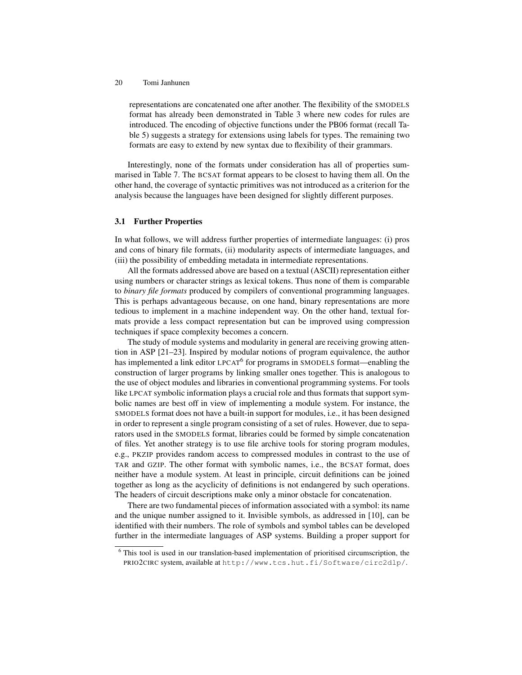representations are concatenated one after another. The flexibility of the SMODELS format has already been demonstrated in Table 3 where new codes for rules are introduced. The encoding of objective functions under the PB06 format (recall Table 5) suggests a strategy for extensions using labels for types. The remaining two formats are easy to extend by new syntax due to flexibility of their grammars.

Interestingly, none of the formats under consideration has all of properties summarised in Table 7. The BCSAT format appears to be closest to having them all. On the other hand, the coverage of syntactic primitives was not introduced as a criterion for the analysis because the languages have been designed for slightly different purposes.

#### 3.1 Further Properties

In what follows, we will address further properties of intermediate languages: (i) pros and cons of binary file formats, (ii) modularity aspects of intermediate languages, and (iii) the possibility of embedding metadata in intermediate representations.

All the formats addressed above are based on a textual (ASCII) representation either using numbers or character strings as lexical tokens. Thus none of them is comparable to *binary file formats* produced by compilers of conventional programming languages. This is perhaps advantageous because, on one hand, binary representations are more tedious to implement in a machine independent way. On the other hand, textual formats provide a less compact representation but can be improved using compression techniques if space complexity becomes a concern.

The study of module systems and modularity in general are receiving growing attention in ASP [21–23]. Inspired by modular notions of program equivalence, the author has implemented a link editor LPCAT<sup>6</sup> for programs in SMODELS format—enabling the construction of larger programs by linking smaller ones together. This is analogous to the use of object modules and libraries in conventional programming systems. For tools like LPCAT symbolic information plays a crucial role and thus formats that support symbolic names are best off in view of implementing a module system. For instance, the SMODELS format does not have a built-in support for modules, i.e., it has been designed in order to represent a single program consisting of a set of rules. However, due to separators used in the SMODELS format, libraries could be formed by simple concatenation of files. Yet another strategy is to use file archive tools for storing program modules, e.g., PKZIP provides random access to compressed modules in contrast to the use of TAR and GZIP. The other format with symbolic names, i.e., the BCSAT format, does neither have a module system. At least in principle, circuit definitions can be joined together as long as the acyclicity of definitions is not endangered by such operations. The headers of circuit descriptions make only a minor obstacle for concatenation.

There are two fundamental pieces of information associated with a symbol: its name and the unique number assigned to it. Invisible symbols, as addressed in [10], can be identified with their numbers. The role of symbols and symbol tables can be developed further in the intermediate languages of ASP systems. Building a proper support for

 $6$  This tool is used in our translation-based implementation of prioritised circumscription, the PRIO2CIRC system, available at http://www.tcs.hut.fi/Software/circ2dlp/.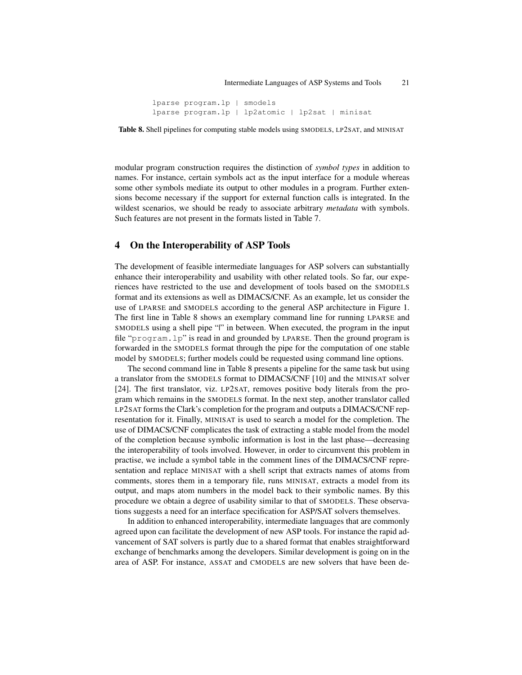lparse program.lp | smodels lparse program.lp | lp2atomic | lp2sat | minisat

Table 8. Shell pipelines for computing stable models using SMODELS, LP2SAT, and MINISAT

modular program construction requires the distinction of *symbol types* in addition to names. For instance, certain symbols act as the input interface for a module whereas some other symbols mediate its output to other modules in a program. Further extensions become necessary if the support for external function calls is integrated. In the wildest scenarios, we should be ready to associate arbitrary *metadata* with symbols. Such features are not present in the formats listed in Table 7.

### 4 On the Interoperability of ASP Tools

The development of feasible intermediate languages for ASP solvers can substantially enhance their interoperability and usability with other related tools. So far, our experiences have restricted to the use and development of tools based on the SMODELS format and its extensions as well as DIMACS/CNF. As an example, let us consider the use of LPARSE and SMODELS according to the general ASP architecture in Figure 1. The first line in Table 8 shows an exemplary command line for running LPARSE and SMODELS using a shell pipe "|" in between. When executed, the program in the input file "program. 1p" is read in and grounded by LPARSE. Then the ground program is forwarded in the SMODELS format through the pipe for the computation of one stable model by SMODELS; further models could be requested using command line options.

The second command line in Table 8 presents a pipeline for the same task but using a translator from the SMODELS format to DIMACS/CNF [10] and the MINISAT solver [24]. The first translator, viz. LP2SAT, removes positive body literals from the program which remains in the SMODELS format. In the next step, another translator called LP2SAT forms the Clark's completion for the program and outputs a DIMACS/CNF representation for it. Finally, MINISAT is used to search a model for the completion. The use of DIMACS/CNF complicates the task of extracting a stable model from the model of the completion because symbolic information is lost in the last phase—decreasing the interoperability of tools involved. However, in order to circumvent this problem in practise, we include a symbol table in the comment lines of the DIMACS/CNF representation and replace MINISAT with a shell script that extracts names of atoms from comments, stores them in a temporary file, runs MINISAT, extracts a model from its output, and maps atom numbers in the model back to their symbolic names. By this procedure we obtain a degree of usability similar to that of SMODELS. These observations suggests a need for an interface specification for ASP/SAT solvers themselves.

In addition to enhanced interoperability, intermediate languages that are commonly agreed upon can facilitate the development of new ASP tools. For instance the rapid advancement of SAT solvers is partly due to a shared format that enables straightforward exchange of benchmarks among the developers. Similar development is going on in the area of ASP. For instance, ASSAT and CMODELS are new solvers that have been de-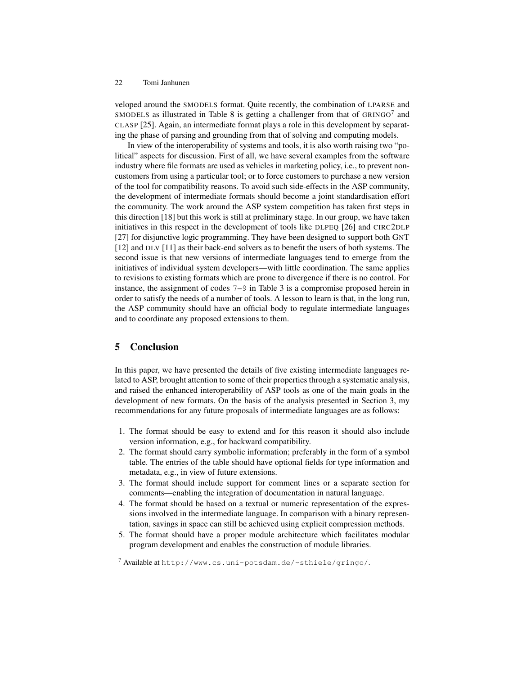veloped around the SMODELS format. Quite recently, the combination of LPARSE and SMODELS as illustrated in Table 8 is getting a challenger from that of  $GRINGO<sup>7</sup>$  and CLASP [25]. Again, an intermediate format plays a role in this development by separating the phase of parsing and grounding from that of solving and computing models.

In view of the interoperability of systems and tools, it is also worth raising two "political" aspects for discussion. First of all, we have several examples from the software industry where file formats are used as vehicles in marketing policy, i.e., to prevent noncustomers from using a particular tool; or to force customers to purchase a new version of the tool for compatibility reasons. To avoid such side-effects in the ASP community, the development of intermediate formats should become a joint standardisation effort the community. The work around the ASP system competition has taken first steps in this direction [18] but this work is still at preliminary stage. In our group, we have taken initiatives in this respect in the development of tools like DLPEQ [26] and CIRC2DLP [27] for disjunctive logic programming. They have been designed to support both GNT [12] and DLV [11] as their back-end solvers as to benefit the users of both systems. The second issue is that new versions of intermediate languages tend to emerge from the initiatives of individual system developers—with little coordination. The same applies to revisions to existing formats which are prone to divergence if there is no control. For instance, the assignment of codes 7–9 in Table 3 is a compromise proposed herein in order to satisfy the needs of a number of tools. A lesson to learn is that, in the long run, the ASP community should have an official body to regulate intermediate languages and to coordinate any proposed extensions to them.

# 5 Conclusion

In this paper, we have presented the details of five existing intermediate languages related to ASP, brought attention to some of their properties through a systematic analysis, and raised the enhanced interoperability of ASP tools as one of the main goals in the development of new formats. On the basis of the analysis presented in Section 3, my recommendations for any future proposals of intermediate languages are as follows:

- 1. The format should be easy to extend and for this reason it should also include version information, e.g., for backward compatibility.
- 2. The format should carry symbolic information; preferably in the form of a symbol table. The entries of the table should have optional fields for type information and metadata, e.g., in view of future extensions.
- 3. The format should include support for comment lines or a separate section for comments—enabling the integration of documentation in natural language.
- 4. The format should be based on a textual or numeric representation of the expressions involved in the intermediate language. In comparison with a binary representation, savings in space can still be achieved using explicit compression methods.
- 5. The format should have a proper module architecture which facilitates modular program development and enables the construction of module libraries.

<sup>7</sup> Available at http://www.cs.uni-potsdam.de/~sthiele/gringo/.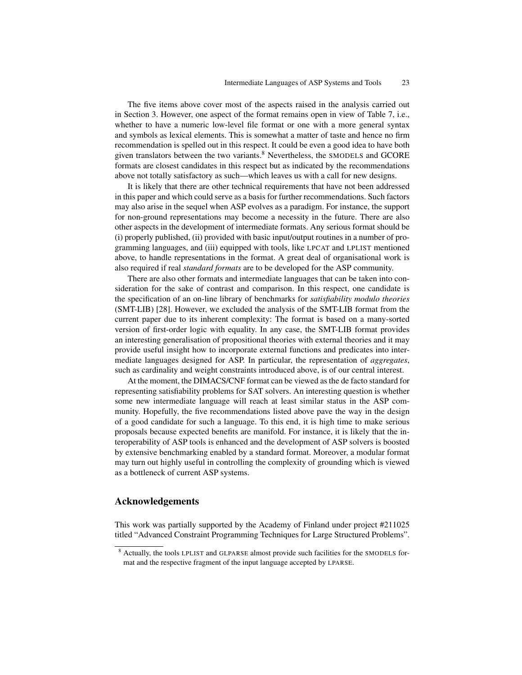The five items above cover most of the aspects raised in the analysis carried out in Section 3. However, one aspect of the format remains open in view of Table 7, i.e., whether to have a numeric low-level file format or one with a more general syntax and symbols as lexical elements. This is somewhat a matter of taste and hence no firm recommendation is spelled out in this respect. It could be even a good idea to have both given translators between the two variants.<sup>8</sup> Nevertheless, the SMODELS and GCORE formats are closest candidates in this respect but as indicated by the recommendations above not totally satisfactory as such—which leaves us with a call for new designs.

It is likely that there are other technical requirements that have not been addressed in this paper and which could serve as a basis for further recommendations. Such factors may also arise in the sequel when ASP evolves as a paradigm. For instance, the support for non-ground representations may become a necessity in the future. There are also other aspects in the development of intermediate formats. Any serious format should be (i) properly published, (ii) provided with basic input/output routines in a number of programming languages, and (iii) equipped with tools, like LPCAT and LPLIST mentioned above, to handle representations in the format. A great deal of organisational work is also required if real *standard formats* are to be developed for the ASP community.

There are also other formats and intermediate languages that can be taken into consideration for the sake of contrast and comparison. In this respect, one candidate is the specification of an on-line library of benchmarks for *satisfiability modulo theories* (SMT-LIB) [28]. However, we excluded the analysis of the SMT-LIB format from the current paper due to its inherent complexity: The format is based on a many-sorted version of first-order logic with equality. In any case, the SMT-LIB format provides an interesting generalisation of propositional theories with external theories and it may provide useful insight how to incorporate external functions and predicates into intermediate languages designed for ASP. In particular, the representation of *aggregates*, such as cardinality and weight constraints introduced above, is of our central interest.

At the moment, the DIMACS/CNF format can be viewed as the de facto standard for representing satisfiability problems for SAT solvers. An interesting question is whether some new intermediate language will reach at least similar status in the ASP community. Hopefully, the five recommendations listed above pave the way in the design of a good candidate for such a language. To this end, it is high time to make serious proposals because expected benefits are manifold. For instance, it is likely that the interoperability of ASP tools is enhanced and the development of ASP solvers is boosted by extensive benchmarking enabled by a standard format. Moreover, a modular format may turn out highly useful in controlling the complexity of grounding which is viewed as a bottleneck of current ASP systems.

### Acknowledgements

This work was partially supported by the Academy of Finland under project #211025 titled "Advanced Constraint Programming Techniques for Large Structured Problems".

<sup>8</sup> Actually, the tools LPLIST and GLPARSE almost provide such facilities for the SMODELS format and the respective fragment of the input language accepted by LPARSE.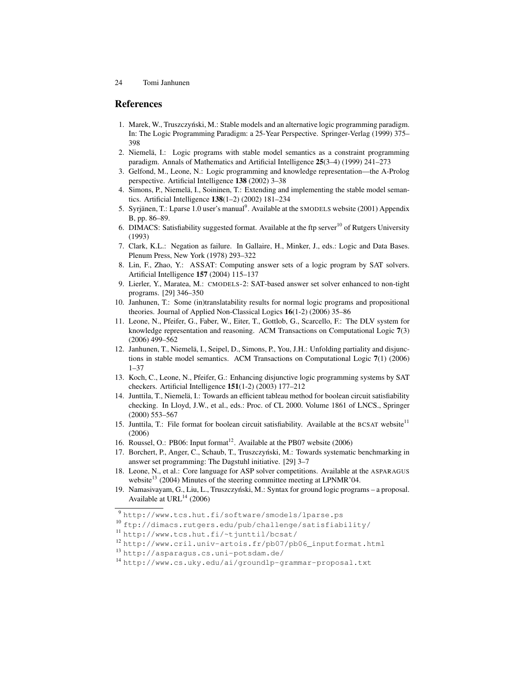### References

- 1. Marek, W., Truszczynski, M.: Stable models and an alternative logic programming paradigm. ´ In: The Logic Programming Paradigm: a 25-Year Perspective. Springer-Verlag (1999) 375– 398
- 2. Niemelä, I.: Logic programs with stable model semantics as a constraint programming paradigm. Annals of Mathematics and Artificial Intelligence 25(3–4) (1999) 241–273
- 3. Gelfond, M., Leone, N.: Logic programming and knowledge representation—the A-Prolog perspective. Artificial Intelligence 138 (2002) 3–38
- 4. Simons, P., Niemelä, I., Soininen, T.: Extending and implementing the stable model semantics. Artificial Intelligence 138(1–2) (2002) 181–234
- 5. Syrjänen, T.: Lparse 1.0 user's manual<sup>9</sup>. Available at the SMODELS website (2001) Appendix B, pp. 86–89.
- 6. DIMACS: Satisfiability suggested format. Available at the ftp server<sup>10</sup> of Rutgers University (1993)
- 7. Clark, K.L.: Negation as failure. In Gallaire, H., Minker, J., eds.: Logic and Data Bases. Plenum Press, New York (1978) 293–322
- 8. Lin, F., Zhao, Y.: ASSAT: Computing answer sets of a logic program by SAT solvers. Artificial Intelligence 157 (2004) 115–137
- 9. Lierler, Y., Maratea, M.: CMODELS-2: SAT-based answer set solver enhanced to non-tight programs. [29] 346–350
- 10. Janhunen, T.: Some (in)translatability results for normal logic programs and propositional theories. Journal of Applied Non-Classical Logics 16(1-2) (2006) 35–86
- 11. Leone, N., Pfeifer, G., Faber, W., Eiter, T., Gottlob, G., Scarcello, F.: The DLV system for knowledge representation and reasoning. ACM Transactions on Computational Logic 7(3) (2006) 499–562
- 12. Janhunen, T., Niemelä, I., Seipel, D., Simons, P., You, J.H.: Unfolding partiality and disjunctions in stable model semantics. ACM Transactions on Computational Logic 7(1) (2006) 1–37
- 13. Koch, C., Leone, N., Pfeifer, G.: Enhancing disjunctive logic programming systems by SAT checkers. Artificial Intelligence 151(1-2) (2003) 177–212
- 14. Junttila, T., Niemelä, I.: Towards an efficient tableau method for boolean circuit satisfiability checking. In Lloyd, J.W., et al., eds.: Proc. of CL 2000. Volume 1861 of LNCS., Springer (2000) 553–567
- 15. Junttila, T.: File format for boolean circuit satisfiability. Available at the BCSAT website<sup>11</sup> (2006)
- 16. Roussel, O.: PB06: Input format<sup>12</sup>. Available at the PB07 website  $(2006)$
- 17. Borchert, P., Anger, C., Schaub, T., Truszczynski, M.: Towards systematic benchmarking in ´ answer set programming: The Dagstuhl initiative. [29] 3–7
- 18. Leone, N., et al.: Core language for ASP solver competitions. Available at the ASPARAGUS website<sup>13</sup> (2004) Minutes of the steering committee meeting at LPNMR'04.
- 19. Namasivayam, G., Liu, L., Truszczynski, M.: Syntax for ground logic programs a proposal. ´ Available at URL $^{14}$  (2006)

<sup>13</sup> http://asparagus.cs.uni-potsdam.de/

<sup>9</sup> http://www.tcs.hut.fi/software/smodels/lparse.ps

<sup>10</sup> ftp://dimacs.rutgers.edu/pub/challenge/satisfiability/

<sup>11</sup> http://www.tcs.hut.fi/~tjunttil/bcsat/

<sup>12</sup> http://www.cril.univ-artois.fr/pb07/pb06\_inputformat.html

<sup>14</sup> http://www.cs.uky.edu/ai/groundlp-grammar-proposal.txt